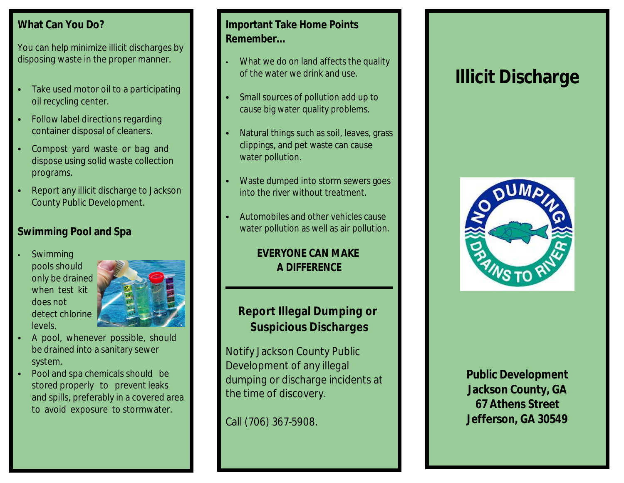### **What Can You Do?**

You can help minimize illicit discharges by disposing waste in the proper manner.

- Take used motor oil to a participating oil recycling center.
- Follow label directions regarding container disposal of cleaners.
- Compost yard waste or bag and dispose using solid waste collection programs.
- Report any illicit discharge to Jackson County Public Development.

# **Swimming Pool and Spa**

Swimming pools should only be drained when test kit does not detect chlorine levels.



- A pool, whenever possible, should be drained into a sanitary sewer system.
- Pool and spa chemicals should be stored properly to prevent leaks and spills, preferably in a covered area to avoid exposure to stormwater.

### **Important Take Home Points Remember...**

- What we do on land affects the quality of the water we drink and use.
- Small sources of pollution add up to cause big water quality problems.
- Natural things such as soil, leaves, grass clippings, and pet waste can cause water pollution.
- Waste dumped into storm sewers goes into the river without treatment.
- Automobiles and other vehicles cause water pollution as well as air pollution.

**EVERYONE CAN MAKE A DIFFERENCE**

**Report Illegal Dumping or Suspicious Discharges**

Notify Jackson County Public Development of any illegal dumping or discharge incidents at the time of discovery.

Call (706) 367-5908.

# **Illicit Discharge**



**Public Development Jackson County, GA 67 Athens Street Jefferson, GA 30549**